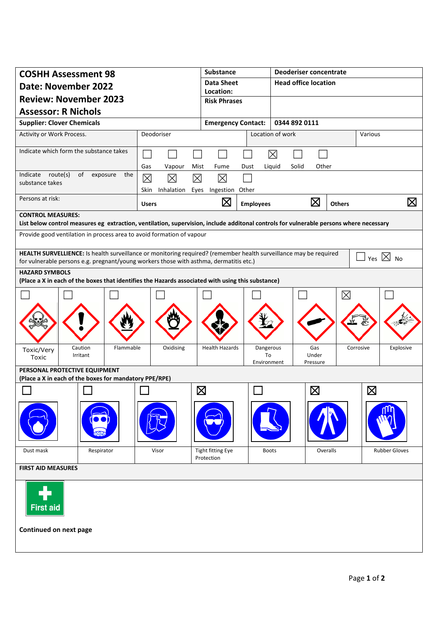| <b>COSHH Assessment 98</b>                                                                                                             |                           | Substance                       |                   | <b>Deoderiser concentrate</b> |                   |               |             |                              |  |  |
|----------------------------------------------------------------------------------------------------------------------------------------|---------------------------|---------------------------------|-------------------|-------------------------------|-------------------|---------------|-------------|------------------------------|--|--|
| <b>Date: November 2022</b>                                                                                                             |                           | <b>Data Sheet</b>               |                   | <b>Head office location</b>   |                   |               |             |                              |  |  |
| <b>Review: November 2023</b>                                                                                                           |                           | Location:                       |                   |                               |                   |               |             |                              |  |  |
| <b>Assessor: R Nichols</b>                                                                                                             |                           | <b>Risk Phrases</b>             |                   |                               |                   |               |             |                              |  |  |
| <b>Supplier: Clover Chemicals</b>                                                                                                      | <b>Emergency Contact:</b> |                                 | 0344 892 0111     |                               |                   |               |             |                              |  |  |
| Deodoriser<br>Activity or Work Process.                                                                                                |                           |                                 |                   | Location of work              |                   |               | Various     |                              |  |  |
|                                                                                                                                        |                           |                                 |                   |                               |                   |               |             |                              |  |  |
| Indicate which form the substance takes                                                                                                |                           |                                 |                   | $\boxtimes$                   |                   |               |             |                              |  |  |
|                                                                                                                                        | Gas<br>Vapour             | Mist<br>Fume                    | Dust              | Liquid<br>Solid               | Other             |               |             |                              |  |  |
| Indicate route(s)<br>of<br>exposure<br>the<br>substance takes                                                                          | $\boxtimes$<br>⊠          | 冈<br>区                          |                   |                               |                   |               |             |                              |  |  |
|                                                                                                                                        | Inhalation<br>Skin        | Eyes Ingestion Other            |                   |                               |                   |               |             |                              |  |  |
| Persons at risk:                                                                                                                       | <b>Users</b>              | $\boxtimes$                     | <b>Employees</b>  |                               | $\boxtimes$       | <b>Others</b> |             | $\boxtimes$                  |  |  |
| <b>CONTROL MEASURES:</b>                                                                                                               |                           |                                 |                   |                               |                   |               |             |                              |  |  |
| List below control measures eg extraction, ventilation, supervision, include additonal controls for vulnerable persons where necessary |                           |                                 |                   |                               |                   |               |             |                              |  |  |
| Provide good ventilation in process area to avoid formation of vapour                                                                  |                           |                                 |                   |                               |                   |               |             |                              |  |  |
| HEALTH SURVELLIENCE: Is health surveillance or monitoring required? (remember health surveillance may be required                      |                           |                                 |                   |                               |                   |               |             |                              |  |  |
| for vulnerable persons e.g. pregnant/young workers those with asthma, dermatitis etc.)                                                 |                           |                                 |                   |                               |                   |               |             | Yes $\boxtimes$<br><b>No</b> |  |  |
| <b>HAZARD SYMBOLS</b><br>(Place a X in each of the boxes that identifies the Hazards associated with using this substance)             |                           |                                 |                   |                               |                   |               |             |                              |  |  |
|                                                                                                                                        |                           |                                 |                   |                               |                   |               |             |                              |  |  |
|                                                                                                                                        |                           |                                 |                   |                               |                   | $\boxtimes$   |             |                              |  |  |
|                                                                                                                                        |                           |                                 |                   |                               |                   |               |             |                              |  |  |
|                                                                                                                                        |                           |                                 |                   |                               |                   |               |             |                              |  |  |
|                                                                                                                                        |                           |                                 |                   |                               |                   |               |             |                              |  |  |
| Flammable<br>Caution<br>Toxic/Very                                                                                                     | Oxidising                 | <b>Health Hazards</b>           | Dangerous         |                               | Gas               |               | Corrosive   | Explosive                    |  |  |
| Irritant<br>Toxic                                                                                                                      |                           |                                 | To<br>Environment |                               | Under<br>Pressure |               |             |                              |  |  |
| PERSONAL PROTECTIVE EQUIPMENT                                                                                                          |                           |                                 |                   |                               |                   |               |             |                              |  |  |
| (Place a X in each of the boxes for mandatory PPE/RPE)                                                                                 |                           |                                 |                   |                               |                   |               |             |                              |  |  |
|                                                                                                                                        |                           | $\boxtimes$                     |                   |                               | $\boxtimes$       |               | $\boxtimes$ |                              |  |  |
|                                                                                                                                        |                           |                                 |                   |                               |                   |               |             |                              |  |  |
|                                                                                                                                        |                           |                                 |                   |                               |                   |               |             |                              |  |  |
|                                                                                                                                        |                           |                                 |                   |                               |                   |               |             |                              |  |  |
|                                                                                                                                        |                           |                                 |                   |                               |                   |               |             |                              |  |  |
| Dust mask<br>Respirator                                                                                                                | Visor                     | Tight fitting Eye<br>Protection | <b>Boots</b>      |                               |                   | Overalls      |             | <b>Rubber Gloves</b>         |  |  |
| <b>FIRST AID MEASURES</b>                                                                                                              |                           |                                 |                   |                               |                   |               |             |                              |  |  |
|                                                                                                                                        |                           |                                 |                   |                               |                   |               |             |                              |  |  |
|                                                                                                                                        |                           |                                 |                   |                               |                   |               |             |                              |  |  |
|                                                                                                                                        |                           |                                 |                   |                               |                   |               |             |                              |  |  |
| <b>First aid</b>                                                                                                                       |                           |                                 |                   |                               |                   |               |             |                              |  |  |
|                                                                                                                                        |                           |                                 |                   |                               |                   |               |             |                              |  |  |
| Continued on next page                                                                                                                 |                           |                                 |                   |                               |                   |               |             |                              |  |  |
|                                                                                                                                        |                           |                                 |                   |                               |                   |               |             |                              |  |  |